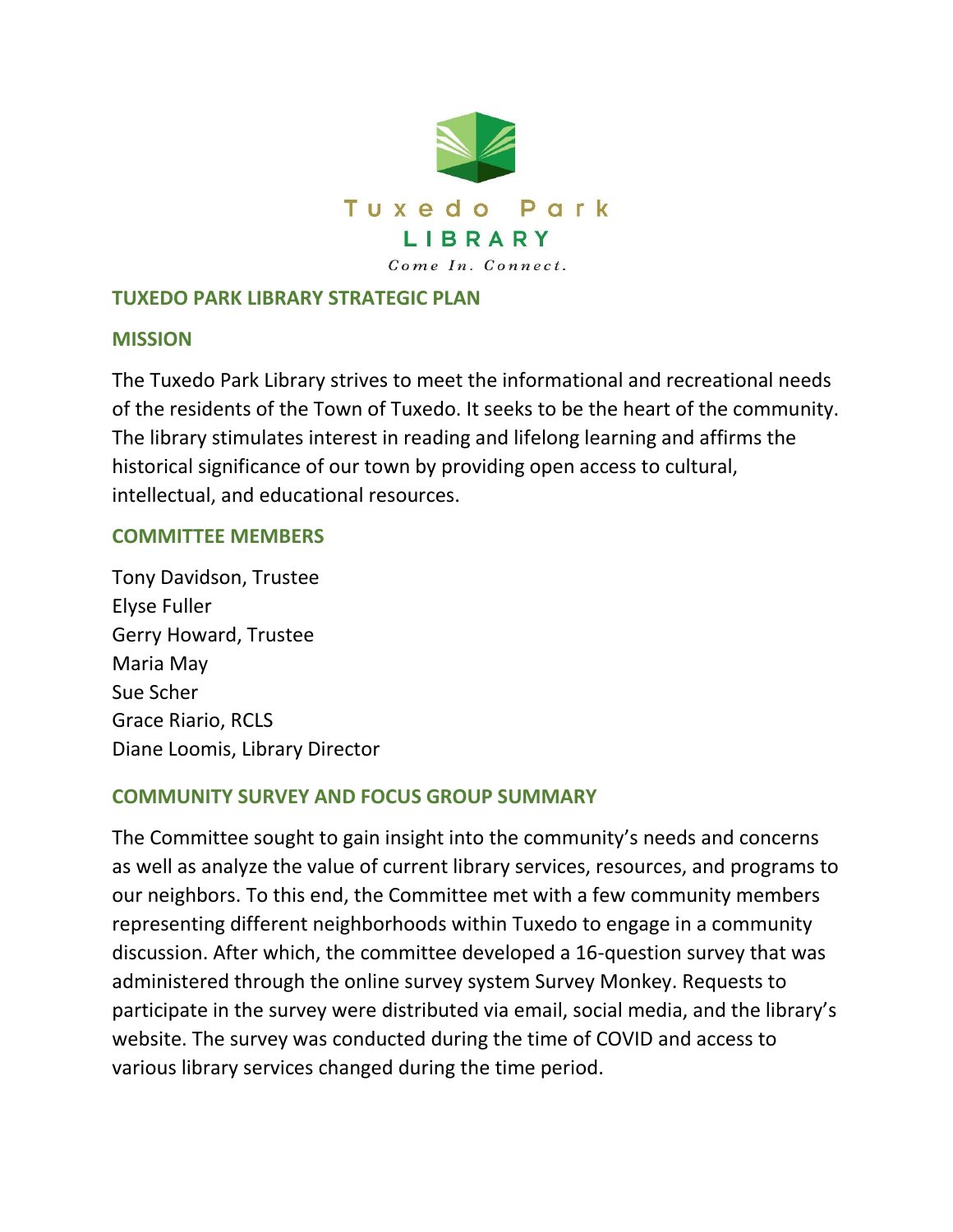

### **TUXEDO PARK LIBRARY STRATEGIC PLAN**

#### **MISSION**

The Tuxedo Park Library strives to meet the informational and recreational needs of the residents of the Town of Tuxedo. It seeks to be the heart of the community. The library stimulates interest in reading and lifelong learning and affirms the historical significance of our town by providing open access to cultural, intellectual, and educational resources.

#### **COMMITTEE MEMBERS**

Tony Davidson, Trustee Elyse Fuller Gerry Howard, Trustee Maria May Sue Scher Grace Riario, RCLS Diane Loomis, Library Director

### **COMMUNITY SURVEY AND FOCUS GROUP SUMMARY**

The Committee sought to gain insight into the community's needs and concerns as well as analyze the value of current library services, resources, and programs to our neighbors. To this end, the Committee met with a few community members representing different neighborhoods within Tuxedo to engage in a community discussion. After which, the committee developed a 16-question survey that was administered through the online survey system Survey Monkey. Requests to participate in the survey were distributed via email, social media, and the library's website. The survey was conducted during the time of COVID and access to various library services changed during the time period.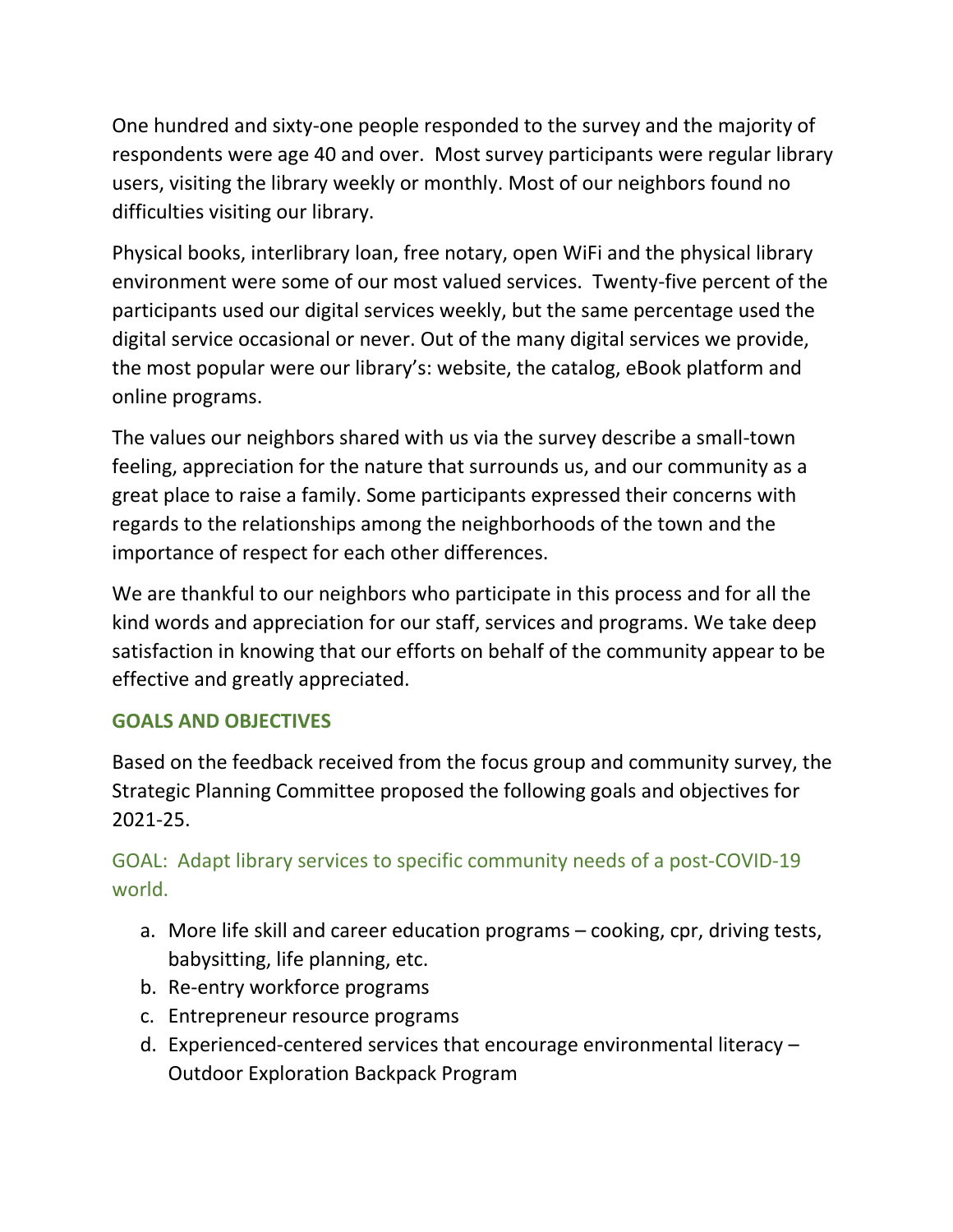One hundred and sixty-one people responded to the survey and the majority of respondents were age 40 and over. Most survey participants were regular library users, visiting the library weekly or monthly. Most of our neighbors found no difficulties visiting our library.

Physical books, interlibrary loan, free notary, open WiFi and the physical library environment were some of our most valued services. Twenty-five percent of the participants used our digital services weekly, but the same percentage used the digital service occasional or never. Out of the many digital services we provide, the most popular were our library's: website, the catalog, eBook platform and online programs.

The values our neighbors shared with us via the survey describe a small-town feeling, appreciation for the nature that surrounds us, and our community as a great place to raise a family. Some participants expressed their concerns with regards to the relationships among the neighborhoods of the town and the importance of respect for each other differences.

We are thankful to our neighbors who participate in this process and for all the kind words and appreciation for our staff, services and programs. We take deep satisfaction in knowing that our efforts on behalf of the community appear to be effective and greatly appreciated.

## **GOALS AND OBJECTIVES**

Based on the feedback received from the focus group and community survey, the Strategic Planning Committee proposed the following goals and objectives for 2021-25.

# GOAL: Adapt library services to specific community needs of a post-COVID-19 world.

- a. More life skill and career education programs cooking, cpr, driving tests, babysitting, life planning, etc.
- b. Re-entry workforce programs
- c. Entrepreneur resource programs
- d. Experienced-centered services that encourage environmental literacy Outdoor Exploration Backpack Program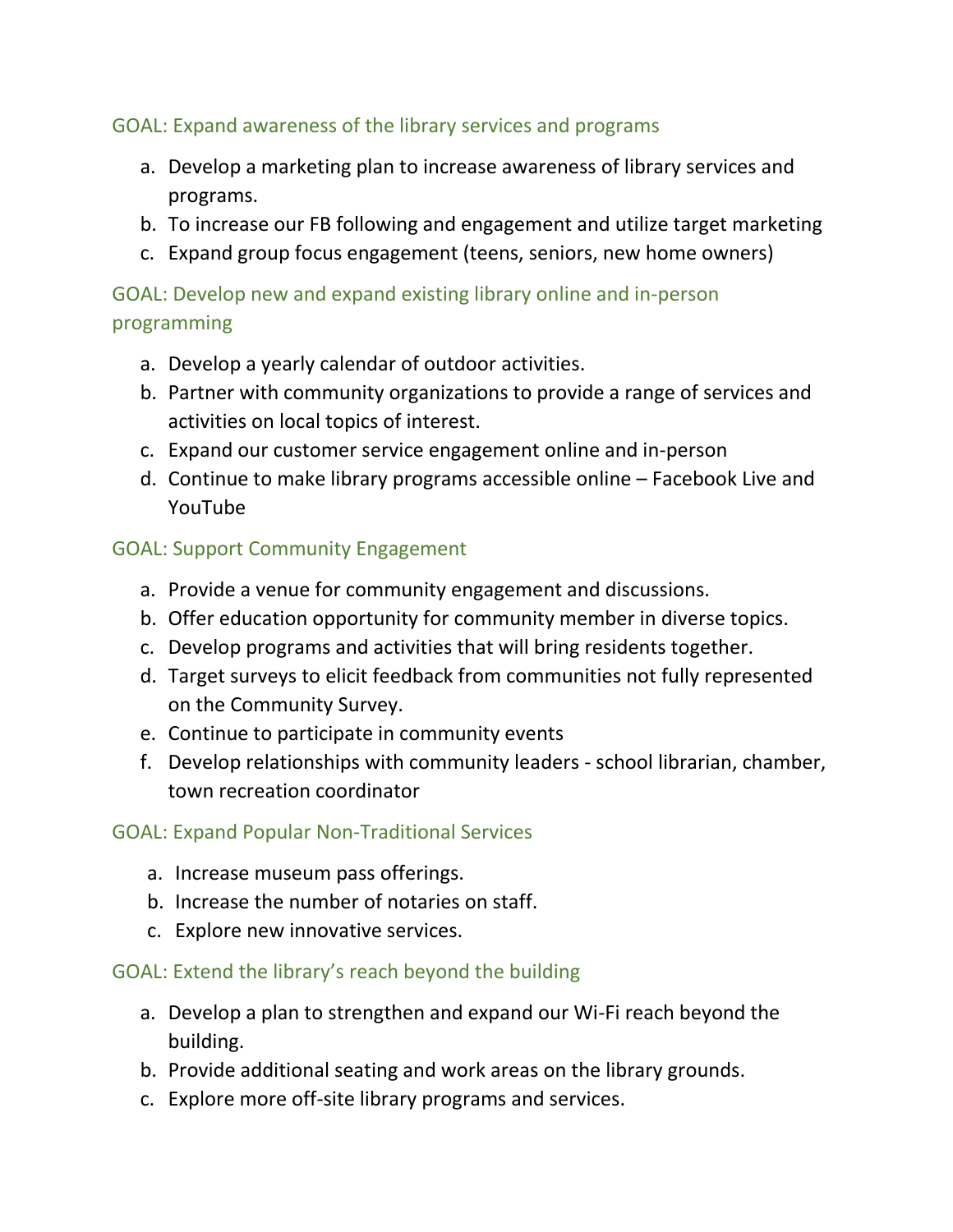## GOAL: Expand awareness of the library services and programs

- a. Develop a marketing plan to increase awareness of library services and programs.
- b. To increase our FB following and engagement and utilize target marketing
- c. Expand group focus engagement (teens, seniors, new home owners)

# GOAL: Develop new and expand existing library online and in-person programming

- a. Develop a yearly calendar of outdoor activities.
- b. Partner with community organizations to provide a range of services and activities on local topics of interest.
- c. Expand our customer service engagement online and in-person
- d. Continue to make library programs accessible online Facebook Live and YouTube

## GOAL: Support Community Engagement

- a. Provide a venue for community engagement and discussions.
- b. Offer education opportunity for community member in diverse topics.
- c. Develop programs and activities that will bring residents together.
- d. Target surveys to elicit feedback from communities not fully represented on the Community Survey.
- e. Continue to participate in community events
- f. Develop relationships with community leaders school librarian, chamber, town recreation coordinator

## GOAL: Expand Popular Non-Traditional Services

- a. Increase museum pass offerings.
- b. Increase the number of notaries on staff.
- c. Explore new innovative services.

## GOAL: Extend the library's reach beyond the building

- a. Develop a plan to strengthen and expand our Wi-Fi reach beyond the building.
- b. Provide additional seating and work areas on the library grounds.
- c. Explore more off-site library programs and services.